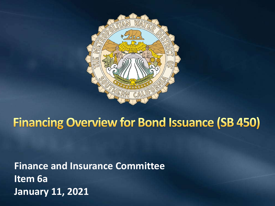

## **Financing Overview for Bond Issuance (SB 450)**

**Finance and Insurance Committee Item 6a January 11, 2021**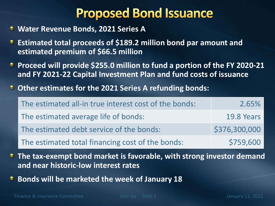## **Proposed Bond Issuance**

- **Water Revenue Bonds, 2021 Series A**
- **Estimated total proceeds of \$189.2 million bond par amount and estimated premium of \$66.5 million**
- **Proceed will provide \$255.0 million to fund a portion of the FY 2020-21 and FY 2021-22 Capital Investment Plan and fund costs of issuance**
- **Other estimates for the 2021 Series A refunding bonds:**

| The estimated all-in true interest cost of the bonds: | 2.65%         |
|-------------------------------------------------------|---------------|
| The estimated average life of bonds:                  | 19.8 Years    |
| The estimated debt service of the bonds:              | \$376,300,000 |
| The estimated total financing cost of the bonds:      | \$759,600     |

- **The tax-exempt bond market is favorable, with strong investor demand and near historic-low interest rates**
- **Bonds will be marketed the week of January 18**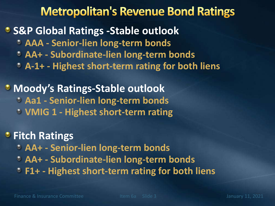## **Metropolitan's Revenue Bond Ratings**

### **S&P Global Ratings -Stable outlook**

- **AAA - Senior-lien long-term bonds**
- **AA+ - Subordinate-lien long-term bonds**
- **A-1+ - Highest short-term rating for both liens**

## **Moody's Ratings-Stable outlook**

- **Aa1 - Senior-lien long-term bonds**
- **VMIG 1 - Highest short-term rating**

### *C* Fitch Ratings

- **AA+ - Senior-lien long-term bonds**
- **AA+ - Subordinate-lien long-term bonds**
- **F1+ - Highest short-term rating for both liens**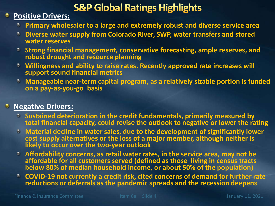## **S&P Global Ratings Highlights**

#### **Positive Drivers:**

- **Primary wholesaler to a large and extremely robust and diverse service area**
- **Diverse water supply from Colorado River, SWP, water transfers and stored water reserves**
- **Strong financial management, conservative forecasting, ample reserves, and robust drought and resource planning**
- **Willingness and ability to raise rates. Recently approved rate increases will support sound financial metrics**
- **Manageable near-term capital program, as a relatively sizable portion is funded on a pay-as-you-go basis**

#### **Negative Drivers:**

- **Sustained deterioration in the credit fundamentals, primarily measured by total financial capacity, could revise the outlook to negative or lower the rating**
- **Material decline in water sales, due to the development of significantly lower cost supply alternatives or the loss of a major member, although neither is likely to occur over the two-year outlook**
- **Affordability concerns, as retail water rates, in the service area, may not be affordable for all customers served (defined as those living in census tracts below 80% of median household income, or about 50% of the population)**
- **COVID-19 not currently a credit risk, cited concerns of demand for further rate reductions or deferrals as the pandemic spreads and the recession deepens**

Finance & Insurance Committee Item 6a Slide 4 January 11, 2021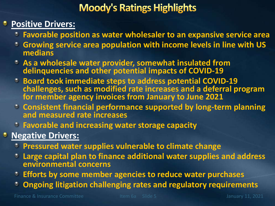## **Moody's Ratings Highlights**

#### **Positive Drivers:**

- **Favorable position as water wholesaler to an expansive service area**
- **Growing service area population with income levels in line with US medians**
- **As a wholesale water provider, somewhat insulated from delinquencies and other potential impacts of COVID-19**
- **Board took immediate steps to address potential COVID-19 challenges, such as modified rate increases and a deferral program for member agency invoices from January to June 2021**
- **Consistent financial performance supported by long-term planning and measured rate increases**
- **Favorable and increasing water storage capacity**
- **Negative Drivers:** 
	- **Pressured water supplies vulnerable to climate change**
	- **Large capital plan to finance additional water supplies and address environmental concerns**
	- **Efforts by some member agencies to reduce water purchases**
	- **Ongoing litigation challenging rates and regulatory requirements**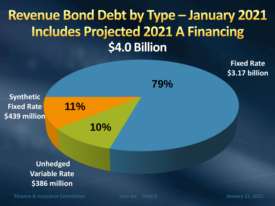# **Revenue Bond Debt by Type - January 2021 Includes Projected 2021 A Financing \$4.0 Billion**



**Finance & Insurance Committee Item 6a Slide 6 January 11, 2021**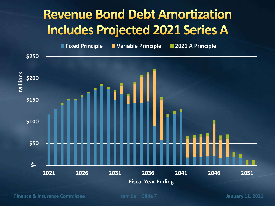## **Revenue Bond Debt Amortization Includes Projected 2021 Series A**

 **\$- \$50 \$100 \$150 \$200 \$250 2021 2026 2031 2036 2041 2046 2051 Millions Fiscal Year Ending Fixed Principle Variable Principle 2021 A Principle**

**Finance & Insurance Committee Item 6a Slide 7 January 11, 2021**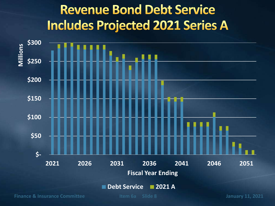# **Revenue Bond Debt Service Includes Projected 2021 Series A**